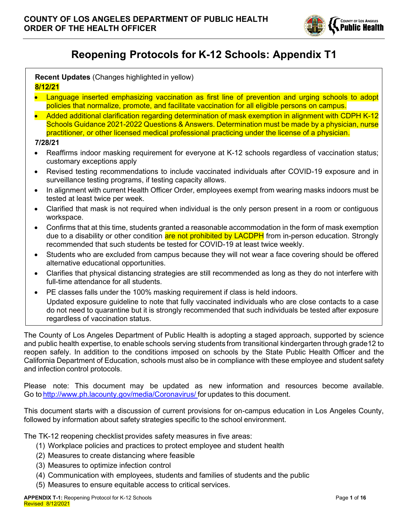

# **Reopening Protocols for K-12 Schools: Appendix T1**

|         |  | <b>Recent Updates</b> (Changes highlighted in yellow) |  |
|---------|--|-------------------------------------------------------|--|
| 8/12/21 |  |                                                       |  |

- x Language inserted emphasizing vaccination as first line of prevention and urging schools to adopt policies that normalize, promote, and facilitate vaccination for all eligible persons on campus.
- Added additional clarification regarding determination of mask exemption in alignment with CDPH K-12 Schools Guidance 2021-2022 Questions & Answers. Determination must be made by a physician, nurse practitioner, or other licensed medical professional practicing under the license of a physician.

**7/28/21**

- Reaffirms indoor masking requirement for everyone at K-12 schools regardless of vaccination status; customary exceptions apply
- Revised testing recommendations to include vaccinated individuals after COVID-19 exposure and in surveillance testing programs, if testing capacity allows.
- In alignment with current Health Officer Order, employees exempt from wearing masks indoors must be tested at least twice per week.
- x Clarified that mask is not required when individual is the only person present in a room or contiguous workspace.
- Confirms that at this time, students granted a reasonable accommodation in the form of mask exemption due to a disability or other condition are not prohibited by LACDPH from in-person education. Strongly recommended that such students be tested for COVID-19 at least twice weekly.
- Students who are excluded from campus because they will not wear a face covering should be offered alternative educational opportunities.
- Clarifies that physical distancing strategies are still recommended as long as they do not interfere with full-time attendance for all students.
- PE classes falls under the 100% masking requirement if class is held indoors. Updated exposure guideline to note that fully vaccinated individuals who are close contacts to a case do not need to quarantine but it is strongly recommended that such individuals be tested after exposure regardless of vaccination status.

The County of Los Angeles Department of Public Health is adopting a staged approach, supported by science and public health expertise, to enable schools serving students from transitional kindergarten through grade12 to reopen safely. In addition to the conditions imposed on schools by the State Public Health Officer and the California Department of Education, schools must also be in compliance with these employee and student safety and infection control protocols.

Please note: This document may be updated as new information and resources become available. Go to http://www.ph.lacounty.gov/media/Coronavirus/ for updates to this document.

This document starts with a discussion of current provisions for on-campus education in Los Angeles County, followed by information about safety strategies specific to the school environment.

The TK-12 reopening checklist provides safety measures in five areas:

- (1) Workplace policies and practices to protect employee and student health
- (2) Measures to create distancing where feasible
- (3) Measures to optimize infection control
- (4) Communication with employees, students and families of students and the public
- (5) Measures to ensure equitable access to critical services.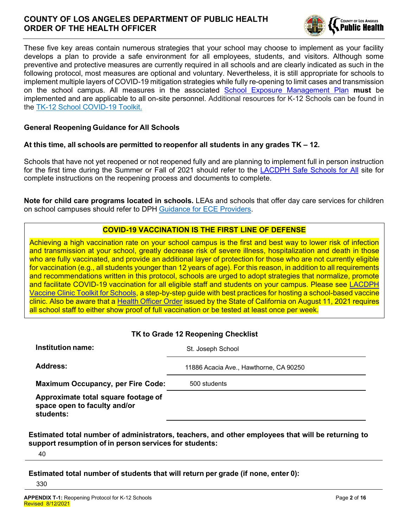

These five key areas contain numerous strategies that your school may choose to implement as your facility develops a plan to provide a safe environment for all employees, students, and visitors. Although some preventive and protective measures are currently required in all schools and are clearly indicated as such in the following protocol, most measures are optional and voluntary. Nevertheless, it is still appropriate for schools to implement multiple layers of COVID-19 mitigation strategies while fully re-opening to limit cases and transmission on the school campus. All measures in the associated School Exposure Management Plan **must** be implemented and are applicable to all on-site personnel. Additional resources for K-12 Schools can be found in the TK-12 School COVID-19 Toolkit.

#### **General Reopening Guidance for All Schools**

#### **At this time, all schools are permitted to reopenfor all students in any grades TK ± 12.**

Schools that have not yet reopened or not reopened fully and are planning to implement full in person instruction for the first time during the Summer or Fall of 2021 should refer to the LACDPH Safe Schools for All site for complete instructions on the reopening process and documents to complete.

**Note for child care programs located in schools.** LEAs and schools that offer day care services for children on school campuses should refer to DPH Guidance for ECE Providers.

### **COVID-19 VACCINATION IS THE FIRST LINE OF DEFENSE**

Achieving a high vaccination rate on your school campus is the first and best way to lower risk of infection and transmission at your school, greatly decrease risk of severe illness, hospitalization and death in those who are fully vaccinated, and provide an additional layer of protection for those who are not currently eligible for vaccination (e.g., all students younger than 12 years of age). For this reason, in addition to all requirements and recommendations written in this protocol, schools are urged to adopt strategies that normalize, promote and facilitate COVID-19 vaccination for all eligible staff and students on your campus. Please see LACDPH Vaccine Clinic Toolkit for Schools, a step-by-step guide with best practices for hosting a school-based vaccine clinic. Also be aware that a Health Officer Order issued by the State of California on August 11, 2021 requires all school staff to either show proof of full vaccination or be tested at least once per week.

| TK to Grade 12 Reopening Checklist                                               |                                        |  |  |  |  |  |
|----------------------------------------------------------------------------------|----------------------------------------|--|--|--|--|--|
| Institution name:                                                                | St. Joseph School                      |  |  |  |  |  |
| <b>Address:</b>                                                                  | 11886 Acacia Ave., Hawthorne, CA 90250 |  |  |  |  |  |
| <b>Maximum Occupancy, per Fire Code:</b>                                         | 500 students                           |  |  |  |  |  |
| Approximate total square footage of<br>space open to faculty and/or<br>students: |                                        |  |  |  |  |  |

**Estimated total number of administrators, teachers, and other employees that will be returning to support resumption of in person services for students:**

40

**Estimated total number of students that will return per grade (if none, enter 0):**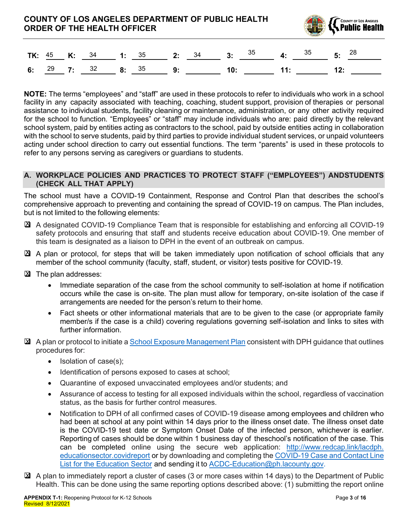

|  |  |  |  |  |  | <b>TK:</b> $\frac{45}{ }$ <b>K:</b> $\frac{34}{ }$ 1: $\frac{35}{ }$ 2: $\frac{34}{ }$ 3: $\frac{35}{ }$ 4: $\frac{35}{ }$ 5: $\frac{28}{ }$ |
|--|--|--|--|--|--|----------------------------------------------------------------------------------------------------------------------------------------------|
|  |  |  |  |  |  | 6: <sup>29</sup> 7: <sup>32</sup> 8: <sup>35</sup> 9: 10: 11: 12:                                                                            |

**NOTE:** The terms "employees" and "staff" are used in these protocols to refer to individuals who work in a school facility in any capacity associated with teaching, coaching, student support, provision of therapies or personal assistance to individual students, facility cleaning or maintenance, administration, or any other activity required for the school to function. "Employees" or "staff" may include individuals who are: paid directly by the relevant school system, paid by entities acting as contractors to the school, paid by outside entities acting in collaboration with the school to serve students, paid by third parties to provide individual student services, or unpaid volunteers acting under school direction to carry out essential functions. The term "parents" is used in these protocols to refer to any persons serving as caregivers or guardians to students.

#### **A. WORKPLACE POLICIES AND PRACTICES TO PROTECT STAFF (³EMPLO<EES´) ANDSTUDENTS (CHECK ALL THAT APPLY)**

The school must have a COVID-19 Containment, Response and Control Plan that describes the school's comprehensive approach to preventing and containing the spread of COVID-19 on campus. The Plan includes, but is not limited to the following elements:

- X A designated COVID-19 Compliance Team that is responsible for establishing and enforcing all COVID-19 safety protocols and ensuring that staff and students receive education about COVID-19. One member of this team is designated as a liaison to DPH in the event of an outbreak on campus.
- A plan or protocol, for steps that will be taken immediately upon notification of school officials that any X member of the school community (faculty, staff, student, or visitor) tests positive for COVID-19.
- **X** The plan addresses:
	- Immediate separation of the case from the school community to self-isolation at home if notification occurs while the case is on-site. The plan must allow for temporary, on-site isolation of the case if arrangements are needed for the person's return to their home.
	- Fact sheets or other informational materials that are to be given to the case (or appropriate family member/s if the case is a child) covering regulations governing self-isolation and links to sites with further information.
- ⊠ A plan or protocol to initiate a School Exposure Management Plan consistent with DPH guidance that outlines procedures for:
	- $\bullet$  Isolation of case(s);
	- Identification of persons exposed to cases at school;
	- Quarantine of exposed unvaccinated employees and/or students; and
	- Assurance of access to testing for all exposed individuals within the school, regardless of vaccination status, as the basis for further control measures.
	- Notification to DPH of all confirmed cases of COVID-19 disease among employees and children who had been at school at any point within 14 days prior to the illness onset date. The illness onset date is the COVID-19 test date or Symptom Onset Date of the infected person, whichever is earlier. Reporting of cases should be done within 1 business day of theschool's notification of the case. This can be completed online using the secure web application: http://www.redcap.link/lacdph. educationsector.covidreport or by downloading and completing the COVID-19 Case and Contact Line List for the Education Sector and sending it to ACDC-Education@ph.lacounty.gov.
- ⊠ A plan to immediately report a cluster of cases (3 or more cases within 14 days) to the Department of Public Health. This can be done using the same reporting options described above: (1) submitting the report online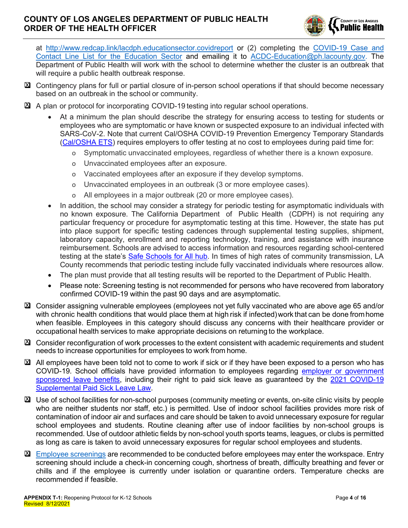

at http://www.redcap.link/lacdph.educationsector.covidreport or (2) completing the COVID-19 Case and Contact Line List for the Education Sector and emailing it to ACDC-Education@ph.lacounty.gov. The Department of Public Health will work with the school to determine whether the cluster is an outbreak that will require a public health outbreak response.

- Contingency plans for full or partial closure of in-person school operations if that should become necessary X based on an outbreak in the school or community.
- **E** A plan or protocol for incorporating COVID-19 testing into regular school operations.
	- At a minimum the plan should describe the strategy for ensuring access to testing for students or employees who are symptomatic or have known or suspected exposure to an individual infected with SARS-CoV-2. Note that current Cal/OSHA COVID-19 Prevention Emergency Temporary Standards (Cal/OSHA ETS) requires employers to offer testing at no cost to employees during paid time for:
		- o Symptomatic unvaccinated employees, regardless of whether there is a known exposure.
		- o Unvaccinated employees after an exposure.
		- o Vaccinated employees after an exposure if they develop symptoms.
		- o Unvaccinated employees in an outbreak (3 or more employee cases).
		- o All employees in a major outbreak (20 or more employee cases).
	- In addition, the school may consider a strategy for periodic testing for asymptomatic individuals with no known exposure. The California Department of Public Health (CDPH) is not requiring any particular frequency or procedure for asymptomatic testing at this time. However, the state has put into place support for specific testing cadences through supplemental testing supplies, shipment, laboratory capacity, enrollment and reporting technology, training, and assistance with insurance reimbursement. Schools are advised to access information and resources regarding school-centered testing at the state's Safe Schools for All hub. In times of high rates of community transmission, LA County recommends that periodic testing include fully vaccinated individuals where resources allow.
	- The plan must provide that all testing results will be reported to the Department of Public Health.
	- Please note: Screening testing is not recommended for persons who have recovered from laboratory confirmed COVID-19 within the past 90 days and are asymptomatic.
- Consider assigning vulnerable employees (employees not yet fully vaccinated who are above age 65 and/or X with chronic health conditions that would place them at high risk if infected) work that can be done from home when feasible. Employees in this category should discuss any concerns with their healthcare provider or occupational health services to make appropriate decisions on returning to the workplace.
- Consider reconfiguration of work processes to the extent consistent with academic requirements and student X needs to increase opportunities for employees to work from home.
- ⊠ All employees have been told not to come to work if sick or if they have been exposed to a person who has COVID-19. School officials have provided information to employees regarding employer or government sponsored leave benefits, including their right to paid sick leave as guaranteed by the 2021 COVID-19 Supplemental Paid Sick Leave Law.
- Use of school facilities for non-school purposes (community meeting or events, on-site clinic visits by people Xwho are neither students nor staff, etc.) is permitted. Use of indoor school facilities provides more risk of contamination of indoor air and surfaces and care should be taken to avoid unnecessary exposure for regular school employees and students. Routine cleaning after use of indoor facilities by non-school groups is recommended. Use of outdoor athletic fields by non-school youth sports teams, leagues, or clubs is permitted as long as care is taken to avoid unnecessary exposures for regular school employees and students.
- **E**mployee screenings are recommended to be conducted before employees may enter the workspace. Entry screening should include a check-in concerning cough, shortness of breath, difficulty breathing and fever or chills and if the employee is currently under isolation or quarantine orders. Temperature checks are recommended if feasible.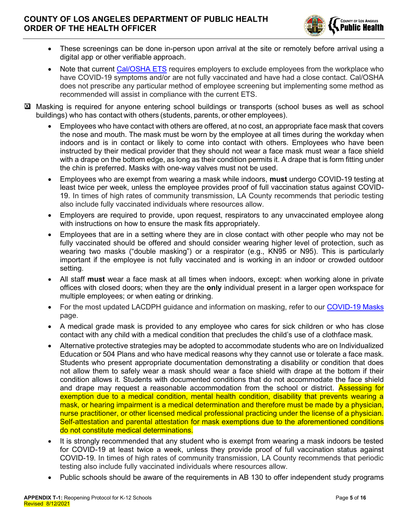

- These screenings can be done in-person upon arrival at the site or remotely before arrival using a digital app or other verifiable approach.
- Note that current Cal/OSHA ETS requires employers to exclude employees from the workplace who have COVID-19 symptoms and/or are not fully vaccinated and have had a close contact. Cal/OSHA does not prescribe any particular method of employee screening but implementing some method as recommended will assist in compliance with the current ETS.
- Masking is required for anyone entering school buildings or transports (school buses as well as school Xbuildings) who has contact with others (students, parents, or other employees).
	- Employees who have contact with others are offered, at no cost, an appropriate face mask that covers the nose and mouth. The mask must be worn by the employee at all times during the workday when indoors and is in contact or likely to come into contact with others. Employees who have been instructed by their medical provider that they should not wear a face mask must wear a face shield with a drape on the bottom edge, as long as their condition permits it. A drape that is form fitting under the chin is preferred. Masks with one-way valves must not be used.
	- x Employees who are exempt from wearing a mask while indoors, **must** undergo COVID-19 testing at least twice per week, unless the employee provides proof of full vaccination status against COVID-19. In times of high rates of community transmission, LA County recommends that periodic testing also include fully vaccinated individuals where resources allow.
	- x Employers are required to provide, upon request, respirators to any unvaccinated employee along with instructions on how to ensure the mask fits appropriately.
	- Employees that are in a setting where they are in close contact with other people who may not be fully vaccinated should be offered and should consider wearing higher level of protection, such as wearing two masks ("double masking") or a respirator (e.g., KN95 or N95). This is particularly important if the employee is not fully vaccinated and is working in an indoor or crowded outdoor setting.
	- x All staff **must** wear a face mask at all times when indoors, except: when working alone in private offices with closed doors; when they are the **only** individual present in a larger open workspace for multiple employees; or when eating or drinking.
	- For the most updated LACDPH quidance and information on masking, refer to our COVID-19 Masks page.
	- A medical grade mask is provided to any employee who cares for sick children or who has close contact with any child with a medical condition that precludes the child's use of a clothface mask.
	- x Alternative protective strategies may be adopted to accommodate students who are on Individualized Education or 504 Plans and who have medical reasons why they cannot use or tolerate a face mask. Students who present appropriate documentation demonstrating a disability or condition that does not allow them to safely wear a mask should wear a face shield with drape at the bottom if their condition allows it. Students with documented conditions that do not accommodate the face shield and drape may request a reasonable accommodation from the school or district. Assessing for exemption due to a medical condition, mental health condition, disability that prevents wearing a mask, or hearing impairment is a medical determination and therefore must be made by a physician, nurse practitioner, or other licensed medical professional practicing under the license of a physician. Self-attestation and parental attestation for mask exemptions due to the aforementioned conditions do not constitute medical determinations.
	- It is strongly recommended that any student who is exempt from wearing a mask indoors be tested for COVID-19 at least twice a week, unless they provide proof of full vaccination status against COVID-19. In times of high rates of community transmission, LA County recommends that periodic testing also include fully vaccinated individuals where resources allow.
	- Public schools should be aware of the requirements in AB 130 to offer independent study programs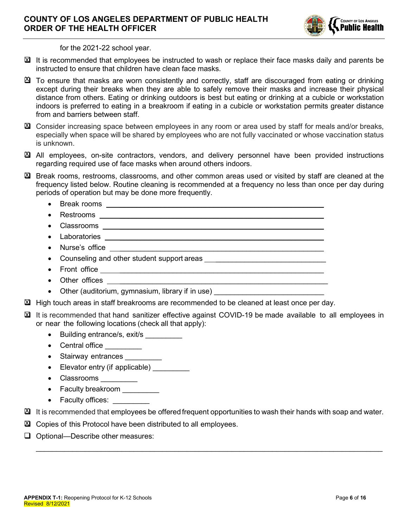

for the 2021-22 school year.

- ⊠ It is recommended that employees be instructed to wash or replace their face masks daily and parents be instructed to ensure that children have clean face masks.
- ⊠ To ensure that masks are worn consistently and correctly, staff are discouraged from eating or drinking except during their breaks when they are able to safely remove their masks and increase their physical distance from others. Eating or drinking outdoors is best but eating or drinking at a cubicle or workstation indoors is preferred to eating in a breakroom if eating in a cubicle or workstation permits greater distance from and barriers between staff.
- **X** Consider increasing space between employees in any room or area used by staff for meals and/or breaks, especially when space will be shared by employees who are not fully vaccinated or whose vaccination status is unknown.
- All employees, on-site contractors, vendors, and delivery personnel have been provided instructions X regarding required use of face masks when around others indoors.
- Break rooms, restrooms, classrooms, and other common areas used or visited by staff are cleaned at the X frequency listed below. Routine cleaning is recommended at a frequency no less than once per day during periods of operation but may be done more frequently.
	- $\bullet$  Break rooms  $\bullet$
	- x Restrooms \_\_\_\_\_\_\_\_\_\_\_\_\_\_\_\_\_\_\_\_\_\_\_\_\_\_\_\_\_\_\_\_\_\_\_\_\_\_\_\_\_\_\_\_\_\_\_\_\_\_
	- x Classrooms \_\_\_\_\_\_\_\_\_\_\_\_\_\_\_\_\_\_\_\_\_\_\_\_\_\_\_\_\_\_\_\_\_\_\_\_\_\_\_\_\_\_\_\_\_\_\_\_\_\_
	- $\bullet$  Laboratories
	- $\bullet$  Nurse's office
	- Counseling and other student support areas
	- Front office  $\frac{1}{2}$  Front office  $\frac{1}{2}$  Front  $\frac{1}{2}$  Front  $\frac{1}{2}$  Front  $\frac{1}{2}$  Front  $\frac{1}{2}$  Front  $\frac{1}{2}$  Front  $\frac{1}{2}$  Front  $\frac{1}{2}$  Front  $\frac{1}{2}$  Front  $\frac{1}{2}$  Front  $\frac{1}{2}$  Front  $\frac{1}{2$
	- $\bullet$  Other offices
	- Other (auditorium, gymnasium, library if in use)
- **X** High touch areas in staff breakrooms are recommended to be cleaned at least once per day.
- ⊠ It is recommended that hand sanitizer effective against COVID-19 be made available to all employees in or near the following locations (check all that apply):
	- Building entrance/s, exit/s
	- Central office
	- Stairway entrances
	- $\bullet$  Elevator entry (if applicable)
	- Classrooms
	- Faculty breakroom
	- Faculty offices:
- $\mathbb{Z}$  It is recommended that employees be offered frequent opportunities to wash their hands with soap and water.

\_\_\_\_\_\_\_\_\_\_\_\_\_\_\_\_\_\_\_\_\_\_\_\_\_\_\_\_\_\_\_\_\_\_\_\_\_\_\_\_\_\_\_\_\_\_\_\_\_\_\_\_\_\_\_\_\_\_\_\_\_\_\_\_\_\_\_\_\_\_\_\_\_\_\_\_\_\_\_\_\_\_\_\_\_

- ⊠ Copies of this Protocol have been distributed to all employees.
- $\Box$  Optional—Describe other measures: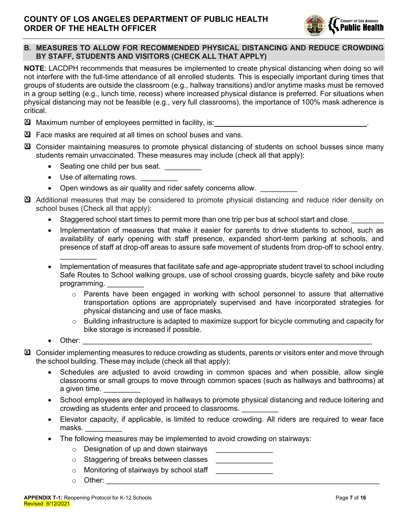

# **B. MEASURES TO ALLOW FOR RECOMMENDED PHYSICAL DISTANCING AND REDUCE CROWDING BY STAFF, STUDENTS AND VISITORS (CHECK ALL THAT APPLY)**

**NOTE**: LACDPH recommends that measures be implemented to create physical distancing when doing so will not interfere with the full-time attendance of all enrolled students. This is especially important during times that groups of students are outside the classroom (e.g., hallway transitions) and/or anytime masks must be removed in a group setting (e.g., lunch time, recess) where increased physical distance is preferred. For situations when physical distancing may not be feasible (e.g., very full classrooms), the importance of 100% mask adherence is critical.

- Maximum number of employees permitted in facility, is: . X
- **E** Face masks are required at all times on school buses and vans.
- Consider maintaining measures to promote physical distancing of students on school busses since many X students remain unvaccinated. These measures may include (check all that apply):
	- Seating one child per bus seat.
	- Use of alternating rows.
	- Open windows as air quality and rider safety concerns allow.
- $\mathfrak A$  Additional measures that may be considered to promote physical distancing and reduce rider density on school buses (Check all that apply):
	- Staggered school start times to permit more than one trip per bus at school start and close.
	- Implementation of measures that make it easier for parents to drive students to school, such as availability of early opening with staff presence, expanded short-term parking at schools, and presence of staff at drop-off areas to assure safe movement of students from drop-off to school entry.  $\mathcal{L}_\text{max}$
	- Implementation of measures that facilitate safe and age-appropriate student travel to school including Safe Routes to School walking groups, use of school crossing guards, bicycle safety and bike route programming.
		- $\circ$  Parents have been engaged in working with school personnel to assure that alternative transportation options are appropriately supervised and have incorporated strategies for physical distancing and use of face masks.
		- $\circ$  Building infrastructure is adapted to maximize support for bicycle commuting and capacity for bike storage is increased if possible.
	- Other:  $\Box$
- Consider implementing measures to reduce crowding as students, parents or visitors enter and move through Xthe school building. These may include (check all that apply):
	- Schedules are adjusted to avoid crowding in common spaces and when possible, allow single classrooms or small groups to move through common spaces (such as hallways and bathrooms) at a given time.
	- School employees are deployed in hallways to promote physical distancing and reduce loitering and crowding as students enter and proceed to classrooms. \_\_\_\_\_\_\_\_\_
	- Elevator capacity, if applicable, is limited to reduce crowding. All riders are required to wear face masks. \_\_\_\_\_\_\_\_\_
	- The following measures may be implemented to avoid crowding on stairways:
		- $\circ$  Designation of up and down stairways
		- $\circ$  Staggering of breaks between classes
		- $\circ$  Monitoring of stairways by school staff
		- $\circ$  Other: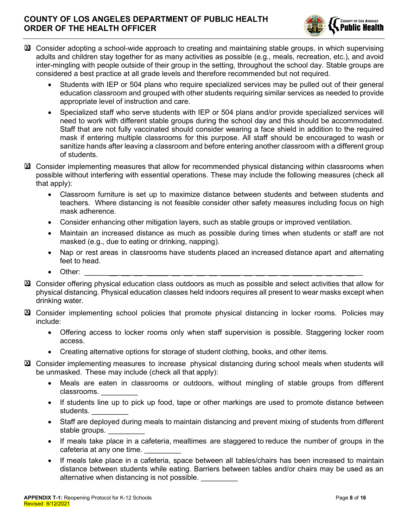

- ⊠ Consider adopting a school-wide approach to creating and maintaining stable groups, in which supervising adults and children stay together for as many activities as possible (e.g., meals, recreation, etc.), and avoid inter-mingling with people outside of their group in the setting, throughout the school day. Stable groups are considered a best practice at all grade levels and therefore recommended but not required.
	- Students with IEP or 504 plans who require specialized services may be pulled out of their general education classroom and grouped with other students requiring similar services as needed to provide appropriate level of instruction and care.
	- x Specialized staff who serve students with IEP or 504 plans and/or provide specialized services will need to work with different stable groups during the school day and this should be accommodated. Staff that are not fully vaccinated should consider wearing a face shield in addition to the required mask if entering multiple classrooms for this purpose. All staff should be encouraged to wash or sanitize hands after leaving a classroom and before entering another classroom with a different group of students.
- ⊠ Consider implementing measures that allow for recommended physical distancing within classrooms when possible without interfering with essential operations. These may include the following measures (check all that apply):
	- Classroom furniture is set up to maximize distance between students and between students and teachers. Where distancing is not feasible consider other safety measures including focus on high mask adherence.
	- Consider enhancing other mitigation layers, such as stable groups or improved ventilation.
	- x Maintain an increased distance as much as possible during times when students or staff are not masked (e.g., due to eating or drinking, napping).
	- Nap or rest areas in classrooms have students placed an increased distance apart and alternating feet to head.
	- x Other: \_\_\_\_\_\_ \_ \_ \_ \_ \_ \_ \_ \_ \_ \_ \_ \_ \_ \_ \_ \_ \_ \_\_
- ⊠ Consider offering physical education class outdoors as much as possible and select activities that allow for physical distancing. Physical education classes held indoors requires all present to wear masks except when drinking water.
- Consider implementing school policies that promote physical distancing in locker rooms. Policies may X include:
	- Offering access to locker rooms only when staff supervision is possible. Staggering locker room access.
	- Creating alternative options for storage of student clothing, books, and other items.
- Consider implementing measures to increase physical distancing during school meals when students will Xbe unmasked. These may include (check all that apply):
	- Meals are eaten in classrooms or outdoors, without mingling of stable groups from different classrooms.
	- If students line up to pick up food, tape or other markings are used to promote distance between students. \_\_\_\_\_\_\_\_\_
	- Staff are deployed during meals to maintain distancing and prevent mixing of students from different stable groups.
	- If meals take place in a cafeteria, mealtimes are staggered to reduce the number of groups in the cafeteria at any one time.
	- If meals take place in a cafeteria, space between all tables/chairs has been increased to maintain distance between students while eating. Barriers between tables and/or chairs may be used as an alternative when distancing is not possible.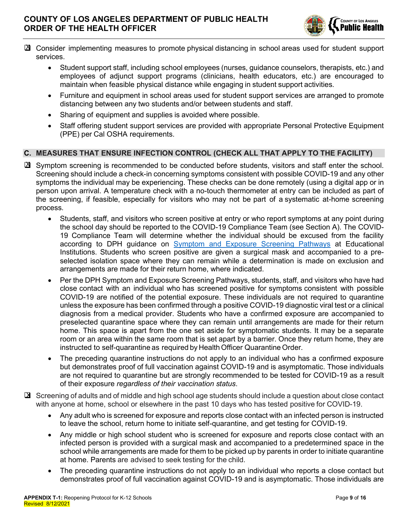

- ⊠ Consider implementing measures to promote physical distancing in school areas used for student support services.
	- Student support staff, including school employees (nurses, guidance counselors, therapists, etc.) and employees of adjunct support programs (clinicians, health educators, etc.) are encouraged to maintain when feasible physical distance while engaging in student support activities.
	- Furniture and equipment in school areas used for student support services are arranged to promote distancing between any two students and/or between students and staff.
	- Sharing of equipment and supplies is avoided where possible.
	- Staff offering student support services are provided with appropriate Personal Protective Equipment (PPE) per Cal OSHA requirements.

# **C. MEASURES THAT ENSURE INFECTION CONTROL (CHECK ALL THAT APPLY TO THE FACILITY)**

- ⊠ Symptom screening is recommended to be conducted before students, visitors and staff enter the school. Screening should include a check-in concerning symptoms consistent with possible COVID-19 and any other symptoms the individual may be experiencing. These checks can be done remotely (using a digital app or in person upon arrival. A temperature check with a no-touch thermometer at entry can be included as part of the screening, if feasible, especially for visitors who may not be part of a systematic at-home screening process.
	- Students, staff, and visitors who screen positive at entry or who report symptoms at any point during the school day should be reported to the COVID-19 Compliance Team (see Section A). The COVID-19 Compliance Team will determine whether the individual should be excused from the facility according to DPH guidance on Symptom and Exposure Screening Pathways at Educational Institutions. Students who screen positive are given a surgical mask and accompanied to a preselected isolation space where they can remain while a determination is made on exclusion and arrangements are made for their return home, where indicated.
	- Per the DPH Symptom and Exposure Screening Pathways, students, staff, and visitors who have had close contact with an individual who has screened positive for symptoms consistent with possible COVID-19 are notified of the potential exposure. These individuals are not required to quarantine unless the exposure has been confirmed through a positive COVID-19 diagnostic viral test or a clinical diagnosis from a medical provider. Students who have a confirmed exposure are accompanied to preselected quarantine space where they can remain until arrangements are made for their return home. This space is apart from the one set aside for symptomatic students. It may be a separate room or an area within the same room that is set apart by a barrier. Once they return home, they are instructed to self-quarantine as required by HealthOfficer Quarantine Order.
	- The preceding quarantine instructions do not apply to an individual who has a confirmed exposure but demonstrates proof of full vaccination against COVID-19 and is asymptomatic. Those individuals are not required to quarantine but are strongly recommended to be tested for COVID-19 as a result of their exposure *regardless of their vaccination status*.
- ⊠ Screening of adults and of middle and high school age students should include a question about close contact with anyone at home, school or elsewhere in the past 10 days who has tested positive for COVID-19.
	- x Any adult who is screened for exposure and reports close contact with an infected person is instructed to leave the school, return home to initiate self-quarantine, and get testing for COVID-19.
	- Any middle or high school student who is screened for exposure and reports close contact with an infected person is provided with a surgical mask and accompanied to a predetermined space in the school while arrangements are made for them to be picked up by parents in order to initiate quarantine at home. Parents are advised to seek testing for the child.
	- The preceding quarantine instructions do not apply to an individual who reports a close contact but demonstrates proof of full vaccination against COVID-19 and is asymptomatic. Those individuals are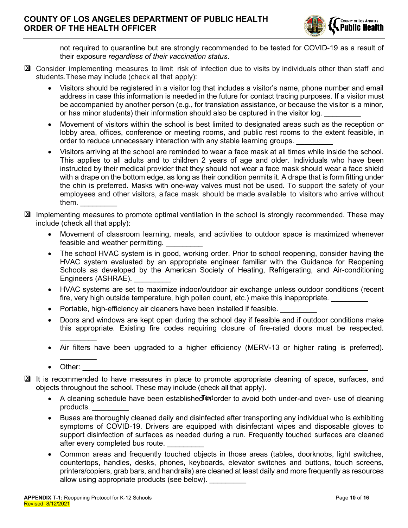

not required to quarantine but are strongly recommended to be tested for COVID-19 as a result of their exposure *regardless of their vaccination status*.

- ⊠ Consider implementing measures to limit risk of infection due to visits by individuals other than staff and students.These may include (check all that apply):
	- Visitors should be registered in a visitor log that includes a visitor's name, phone number and email address in case this information is needed in the future for contact tracing purposes. If a visitor must be accompanied by another person (e.g., for translation assistance, or because the visitor is a minor, or has minor students) their information should also be captured in the visitor log.
	- Movement of visitors within the school is best limited to designated areas such as the reception or lobby area, offices, conference or meeting rooms, and public rest rooms to the extent feasible, in order to reduce unnecessary interaction with any stable learning groups.
	- x Visitors arriving at the school are reminded to wear a face mask at all times while inside the school. This applies to all adults and to children 2 years of age and older. Individuals who have been instructed by their medical provider that they should not wear a face mask should wear a face shield with a drape on the bottom edge, as long as their condition permits it. A drape that is form fitting under the chin is preferred. Masks with one-way valves must not be used. To support the safety of your employees and other visitors, a face mask should be made available to visitors who arrive without them. \_\_\_\_\_\_\_\_\_
- ⊠ Implementing measures to promote optimal ventilation in the school is strongly recommended. These may include (check all that apply):
	- Movement of classroom learning, meals, and activities to outdoor space is maximized whenever feasible and weather permitting.
	- The school HVAC system is in good, working order. Prior to school reopening, consider having the HVAC system evaluated by an appropriate engineer familiar with the Guidance for Reopening Schools as developed by the American Society of Heating, Refrigerating, and Air-conditioning Engineers (ASHRAE).
	- x HVAC systems are set to maximize indoor/outdoor air exchange unless outdoor conditions (recent fire, very high outside temperature, high pollen count, etc.) make this inappropriate.
	- Portable, high-efficiency air cleaners have been installed if feasible.
	- Doors and windows are kept open during the school day if feasible and if outdoor conditions make this appropriate. Existing fire codes requiring closure of fire-rated doors must be respected.
	- Air filters have been upgraded to a higher efficiency (MERV-13 or higher rating is preferred).
	- $\bullet$  Other:

 $\mathcal{L}_\text{max}$ 

 $\overline{\phantom{a}}$ 

- ⊠ It is recommended to have measures in place to promote appropriate cleaning of space, surfaces, and objects throughout the school. These may include (check all that apply).
	- A cleaning schedule have been established *m*atorier to avoid both under-and over- use of cleaning products.
	- Buses are thoroughly cleaned daily and disinfected after transporting any individual who is exhibiting symptoms of COVID-19. Drivers are equipped with disinfectant wipes and disposable gloves to support disinfection of surfaces as needed during a run. Frequently touched surfaces are cleaned after every completed bus route.
	- Common areas and frequently touched objects in those areas (tables, doorknobs, light switches, countertops, handles, desks, phones, keyboards, elevator switches and buttons, touch screens, printers/copiers, grab bars, and handrails) are cleaned at least daily and more frequently as resources allow using appropriate products (see below).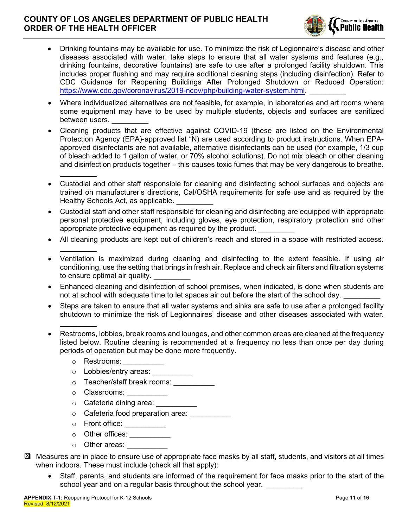

- Drinking fountains may be available for use. To minimize the risk of Legionnaire's disease and other diseases associated with water, take steps to ensure that all water systems and features (e.g., drinking fountains, decorative fountains) are safe to use after a prolonged facility shutdown. This includes proper flushing and may require additional cleaning steps (including disinfection). Refer to CDC Guidance for Reopening Buildings After Prolonged Shutdown or Reduced Operation: https://www.cdc.gov/coronavirus/2019-ncov/php/building-water-system.html
- Where individualized alternatives are not feasible, for example, in laboratories and art rooms where some equipment may have to be used by multiple students, objects and surfaces are sanitized between users.
- x Cleaning products that are effective against COVID-19 (these are listed on the Environmental Protection Agency (EPA)-approved list "N) are used according to product instructions. When EPAapproved disinfectants are not available, alternative disinfectants can be used (for example, 1/3 cup of bleach added to 1 gallon of water, or 70% alcohol solutions). Do not mix bleach or other cleaning and disinfection products together  $-$  this causes toxic fumes that may be very dangerous to breathe.
- Custodial and other staff responsible for cleaning and disinfecting school surfaces and objects are trained on manufacturer's directions, Cal/OSHA requirements for safe use and as required by the Healthy Schools Act, as applicable.
- Custodial staff and other staff responsible for cleaning and disinfecting are equipped with appropriate personal protective equipment, including gloves, eye protection, respiratory protection and other appropriate protective equipment as required by the product.
- All cleaning products are kept out of children's reach and stored in a space with restricted access.
- x Ventilation is maximized during cleaning and disinfecting to the extent feasible. If using air conditioning, use the setting that brings in fresh air. Replace and check air filters and filtration systems to ensure optimal air quality.
- Enhanced cleaning and disinfection of school premises, when indicated, is done when students are not at school with adequate time to let spaces air out before the start of the school day.
- Steps are taken to ensure that all water systems and sinks are safe to use after a prolonged facility shutdown to minimize the risk of Legionnaires' disease and other diseases associated with water.
- Restrooms, lobbies, break rooms and lounges, and other common areas are cleaned at the frequency listed below. Routine cleaning is recommended at a frequency no less than once per day during periods of operation but may be done more frequently.
	- $\circ$  Restrooms:

 $\mathcal{L}_\text{max}$ 

 $\mathcal{L}_\text{max}$ 

 $\mathcal{L}_\text{max}$ 

- o Lobbies/entry areas:
- o Teacher/staff break rooms: \_\_\_\_\_\_\_\_\_\_\_
- o **Classrooms:**
- o Cafeteria dining area: \_\_\_\_\_\_\_\_\_\_\_
- o Cafeteria food preparation area: \_\_\_\_\_\_\_\_\_\_
- o Front office: \_\_\_\_\_\_\_\_\_\_
- o Other offices: \_\_\_\_\_\_\_\_\_\_\_
- $\circ$  Other areas:
- Measures are in place to ensure use of appropriate face masks by all staff, students, and visitors at all times Xwhen indoors. These must include (check all that apply):
	- Staff, parents, and students are informed of the requirement for face masks prior to the start of the school year and on a regular basis throughout the school year.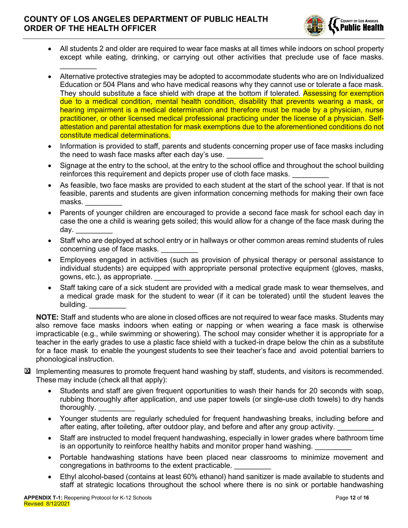

- All students 2 and older are required to wear face masks at all times while indoors on school property except while eating, drinking, or carrying out other activities that preclude use of face masks.  $\mathcal{L}_\text{max}$
- x Alternative protective strategies may be adopted to accommodate students who are on Individualized Education or 504 Plans and who have medical reasons why they cannot use or tolerate a face mask. They should substitute a face shield with drape at the bottom if tolerated. **Assessing for exemption** due to a medical condition, mental health condition, disability that prevents wearing a mask, or hearing impairment is a medical determination and therefore must be made by a physician, nurse practitioner, or other licensed medical professional practicing under the license of a physician. Selfattestation and parental attestation for mask exemptions due to the aforementioned conditions do not constitute medical determinations.
- Information is provided to staff, parents and students concerning proper use of face masks including the need to wash face masks after each day's use.
- Signage at the entry to the school, at the entry to the school office and throughout the school building reinforces this requirement and depicts proper use of cloth face masks.
- As feasible, two face masks are provided to each student at the start of the school year. If that is not feasible, parents and students are given information concerning methods for making their own face masks.
- Parents of younger children are encouraged to provide a second face mask for school each day in case the one a child is wearing gets soiled; this would allow for a change of the face mask during the day. \_\_\_\_\_\_\_\_\_
- Staff who are deployed at school entry or in hallways or other common areas remind students of rules concerning use of face masks.
- Employees engaged in activities (such as provision of physical therapy or personal assistance to individual students) are equipped with appropriate personal protective equipment (gloves, masks, gowns, etc.), as appropriate. \_\_\_\_\_\_\_\_\_
- Staff taking care of a sick student are provided with a medical grade mask to wear themselves, and a medical grade mask for the student to wear (if it can be tolerated) until the student leaves the building.

**NOTE:** Staff and students who are alone in closed offices are not required to wear face masks. Students may also remove face masks indoors when eating or napping or when wearing a face mask is otherwise impracticable (e.g., while swimming or showering). The school may consider whether it is appropriate for a teacher in the early grades to use a plastic face shield with a tucked-in drape below the chin as a substitute for a face mask to enable the youngest students to see their teacher's face and avoid potential barriers to phonological instruction.

- ⊠ Implementing measures to promote frequent hand washing by staff, students, and visitors is recommended. These may include (check all that apply):
	- Students and staff are given frequent opportunities to wash their hands for 20 seconds with soap. rubbing thoroughly after application, and use paper towels (or single-use cloth towels) to dry hands thoroughly.
	- Younger students are regularly scheduled for frequent handwashing breaks, including before and after eating, after toileting, after outdoor play, and before and after any group activity.
	- Staff are instructed to model frequent handwashing, especially in lower grades where bathroom time is an opportunity to reinforce healthy habits and monitor proper hand washing.
	- Portable handwashing stations have been placed near classrooms to minimize movement and congregations in bathrooms to the extent practicable.
	- Ethyl alcohol-based (contains at least 60% ethanol) hand sanitizer is made available to students and staff at strategic locations throughout the school where there is no sink or portable handwashing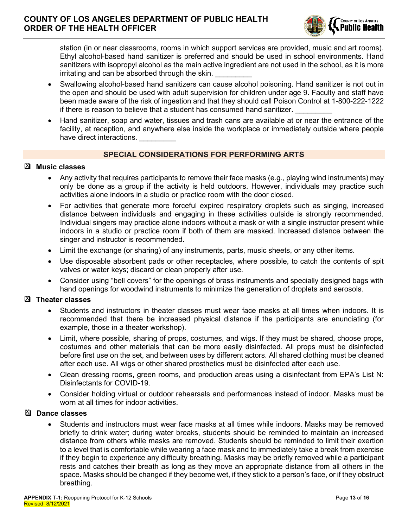

station (in or near classrooms, rooms in which support services are provided, music and art rooms). Ethyl alcohol-based hand sanitizer is preferred and should be used in school environments. Hand sanitizers with isopropyl alcohol as the main active ingredient are not used in the school, as it is more irritating and can be absorbed through the skin.

- Swallowing alcohol-based hand sanitizers can cause alcohol poisoning. Hand sanitizer is not out in the open and should be used with adult supervision for children under age 9. Faculty and staff have been made aware of the risk of ingestion and that they should call Poison Control at 1-800-222-1222 if there is reason to believe that a student has consumed hand sanitizer.
- Hand sanitizer, soap and water, tissues and trash cans are available at or near the entrance of the facility, at reception, and anywhere else inside the workplace or immediately outside where people have direct interactions.

#### **SPECIAL CONSIDERATIONS FOR PERFORMING ARTS**

#### **Music classes** X

- Any activity that requires participants to remove their face masks (e.g., playing wind instruments) may only be done as a group if the activity is held outdoors. However, individuals may practice such activities alone indoors in a studio or practice room with the door closed.
- For activities that generate more forceful expired respiratory droplets such as singing, increased distance between individuals and engaging in these activities outside is strongly recommended. Individual singers may practice alone indoors without a mask or with a single instructor present while indoors in a studio or practice room if both of them are masked. Increased distance between the singer and instructor is recommended.
- Limit the exchange (or sharing) of any instruments, parts, music sheets, or any other items.
- Use disposable absorbent pads or other receptacles, where possible, to catch the contents of spit valves or water keys; discard or clean properly after use.
- Consider using "bell covers" for the openings of brass instruments and specially designed bags with hand openings for woodwind instruments to minimize the generation of droplets and aerosols.

### **Theater classes** X

- Students and instructors in theater classes must wear face masks at all times when indoors. It is recommended that there be increased physical distance if the participants are enunciating (for example, those in a theater workshop).
- Limit, where possible, sharing of props, costumes, and wigs. If they must be shared, choose props, costumes and other materials that can be more easily disinfected. All props must be disinfected before first use on the set, and between uses by different actors. All shared clothing must be cleaned after each use. All wigs or other shared prosthetics must be disinfected after each use.
- Clean dressing rooms, green rooms, and production areas using a disinfectant from EPA's List N: Disinfectants for COVID-19.
- x Consider holding virtual or outdoor rehearsals and performances instead of indoor. Masks must be worn at all times for indoor activities.

#### **Dance classes** X

Students and instructors must wear face masks at all times while indoors. Masks may be removed briefly to drink water; during water breaks, students should be reminded to maintain an increased distance from others while masks are removed. Students should be reminded to limit their exertion to a level that is comfortable while wearing a face mask and to immediately take a break from exercise if they begin to experience any difficulty breathing. Masks may be briefly removed while a participant rests and catches their breath as long as they move an appropriate distance from all others in the space. Masks should be changed if they become wet, if they stick to a person's face, or if they obstruct breathing.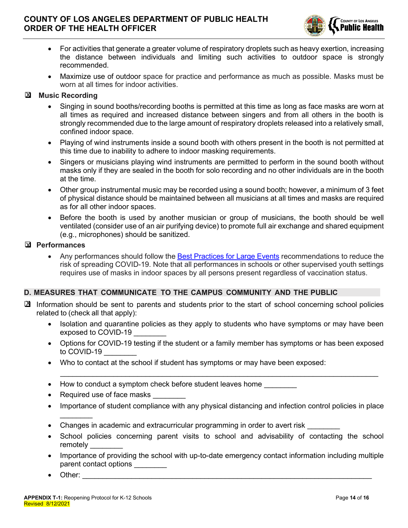

- For activities that generate a greater volume of respiratory droplets such as heavy exertion, increasing the distance between individuals and limiting such activities to outdoor space is strongly recommended.
- Maximize use of outdoor space for practice and performance as much as possible. Masks must be worn at all times for indoor activities.

#### **Music Recording**  $\overline{\mathbf{M}}$

- Singing in sound booths/recording booths is permitted at this time as long as face masks are worn at all times as required and increased distance between singers and from all others in the booth is strongly recommended due to the large amount of respiratory droplets released into a relatively small, confined indoor space.
- Playing of wind instruments inside a sound booth with others present in the booth is not permitted at this time due to inability to adhere to indoor masking requirements.
- Singers or musicians playing wind instruments are permitted to perform in the sound booth without masks only if they are sealed in the booth for solo recording and no other individuals are in the booth at the time.
- Other group instrumental music may be recorded using a sound booth; however, a minimum of 3 feet of physical distance should be maintained between all musicians at all times and masks are required as for all other indoor spaces.
- Before the booth is used by another musician or group of musicians, the booth should be well ventilated (consider use of an air purifying device) to promote full air exchange and shared equipment (e.g., microphones) should be sanitized.

#### **Performances** X

Any performances should follow the Best Practices for Large Events recommendations to reduce the risk of spreading COVID-19. Note that all performances in schools or other supervised youth settings requires use of masks in indoor spaces by all persons present regardless of vaccination status.

#### **D. MEASURES THAT COMMUNICATE TO THE CAMPUS COMMUNITY AND THE PUBLIC**

- ⊠ Information should be sent to parents and students prior to the start of school concerning school policies related to (check all that apply):
	- Isolation and quarantine policies as they apply to students who have symptoms or may have been exposed to COVID-19
	- Options for COVID-19 testing if the student or a family member has symptoms or has been exposed to COVID-19

 $\overline{\phantom{a}}$  ,  $\overline{\phantom{a}}$  ,  $\overline{\phantom{a}}$  ,  $\overline{\phantom{a}}$  ,  $\overline{\phantom{a}}$  ,  $\overline{\phantom{a}}$  ,  $\overline{\phantom{a}}$  ,  $\overline{\phantom{a}}$  ,  $\overline{\phantom{a}}$  ,  $\overline{\phantom{a}}$  ,  $\overline{\phantom{a}}$  ,  $\overline{\phantom{a}}$  ,  $\overline{\phantom{a}}$  ,  $\overline{\phantom{a}}$  ,  $\overline{\phantom{a}}$  ,  $\overline{\phantom{a}}$ 

- Who to contact at the school if student has symptoms or may have been exposed:
- $\bullet$  How to conduct a symptom check before student leaves home
- Required use of face masks
- Importance of student compliance with any physical distancing and infection control policies in place
- Changes in academic and extracurricular programming in order to avert risk
- School policies concerning parent visits to school and advisability of contacting the school remotely \_\_\_\_\_\_\_\_
- Importance of providing the school with up-to-date emergency contact information including multiple parent contact options
- x Other: \_\_\_\_\_\_\_\_\_\_\_\_\_\_\_\_\_\_\_\_\_\_\_\_\_\_\_\_\_\_\_\_\_\_\_\_\_\_\_\_\_\_\_\_\_\_\_\_\_\_\_\_\_\_\_\_\_\_\_\_\_\_\_\_\_\_\_\_\_\_\_

 $\mathcal{L}_\text{max}$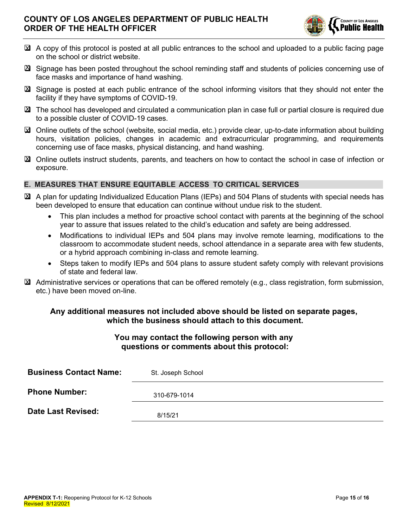

- ⊠ A copy of this protocol is posted at all public entrances to the school and uploaded to a public facing page on the school or district website.
- ⊠ Signage has been posted throughout the school reminding staff and students of policies concerning use of face masks and importance of hand washing.
- ⊠ Signage is posted at each public entrance of the school informing visitors that they should not enter the facility if they have symptoms of COVID-19.
- ⊠ The school has developed and circulated a communication plan in case full or partial closure is required due to a possible cluster of COVID-19 cases.
- ⊠ Online outlets of the school (website, social media, etc.) provide clear, up-to-date information about building hours, visitation policies, changes in academic and extracurricular programming, and requirements concerning use of face masks, physical distancing, and hand washing.
- ⊠ Online outlets instruct students, parents, and teachers on how to contact the school in case of infection or exposure.

# **E. MEASURES THAT ENSURE EQUITABLE ACCESS TO CRITICAL SERVICES**

- ⊠ A plan for updating Individualized Education Plans (IEPs) and 504 Plans of students with special needs has been developed to ensure that education can continue without undue risk to the student.
	- This plan includes a method for proactive school contact with parents at the beginning of the school year to assure that issues related to the child's education and safety are being addressed.
	- x Modifications to individual IEPs and 504 plans may involve remote learning, modifications to the classroom to accommodate student needs, school attendance in a separate area with few students, or a hybrid approach combining in-class and remote learning.
	- Steps taken to modify IEPs and 504 plans to assure student safety comply with relevant provisions of state and federal law.
- Administrative services or operations that can be offered remotely (e.g., class registration, form submission, X etc.) have been moved on-line.

# **Any additional measures not included above should be listed on separate pages, which the business should attach to this document.**

# **You may contact the following person with any questions or comments about this protocol:**

| <b>Business Contact Name:</b> | St. Joseph School |  |  |  |
|-------------------------------|-------------------|--|--|--|
| <b>Phone Number:</b>          | 310-679-1014      |  |  |  |
| Date Last Revised:            | 8/15/21           |  |  |  |